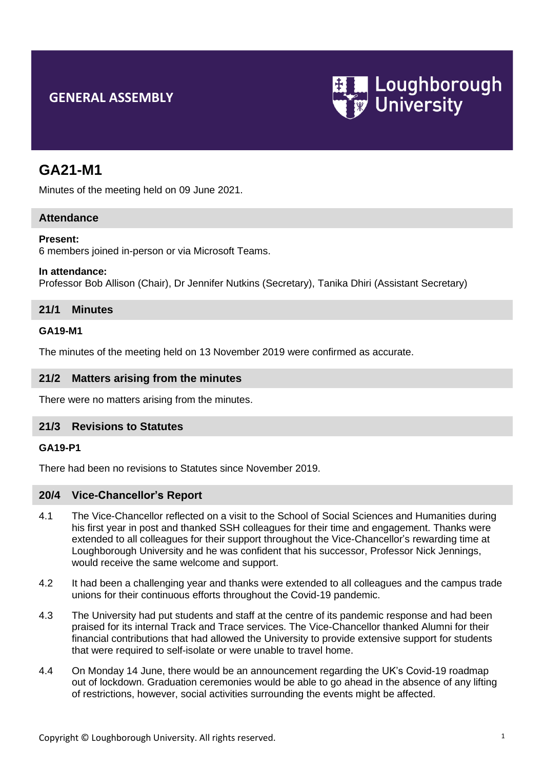# **GENERAL ASSEMBLY**



# **GA21-M1**

Minutes of the meeting held on 09 June 2021.

## **Attendance**

#### **Present:**

6 members joined in-person or via Microsoft Teams.

#### **In attendance:**

Professor Bob Allison (Chair), Dr Jennifer Nutkins (Secretary), Tanika Dhiri (Assistant Secretary)

## **21/1 Minutes**

#### **GA19-M1**

The minutes of the meeting held on 13 November 2019 were confirmed as accurate.

## **21/2 Matters arising from the minutes**

There were no matters arising from the minutes.

#### **21/3 Revisions to Statutes**

## **GA19-P1**

There had been no revisions to Statutes since November 2019.

#### **20/4 Vice-Chancellor's Report**

- 4.1 The Vice-Chancellor reflected on a visit to the School of Social Sciences and Humanities during his first year in post and thanked SSH colleagues for their time and engagement. Thanks were extended to all colleagues for their support throughout the Vice-Chancellor's rewarding time at Loughborough University and he was confident that his successor, Professor Nick Jennings, would receive the same welcome and support.
- 4.2 It had been a challenging year and thanks were extended to all colleagues and the campus trade unions for their continuous efforts throughout the Covid-19 pandemic.
- 4.3 The University had put students and staff at the centre of its pandemic response and had been praised for its internal Track and Trace services. The Vice-Chancellor thanked Alumni for their financial contributions that had allowed the University to provide extensive support for students that were required to self-isolate or were unable to travel home.
- 4.4 On Monday 14 June, there would be an announcement regarding the UK's Covid-19 roadmap out of lockdown. Graduation ceremonies would be able to go ahead in the absence of any lifting of restrictions, however, social activities surrounding the events might be affected.